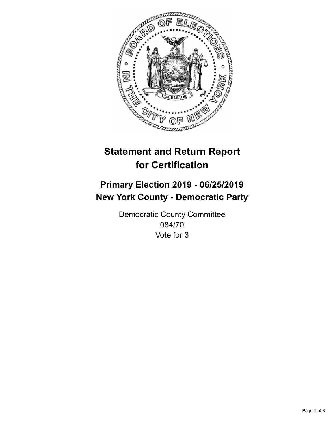

## **Statement and Return Report for Certification**

## **Primary Election 2019 - 06/25/2019 New York County - Democratic Party**

Democratic County Committee 084/70 Vote for 3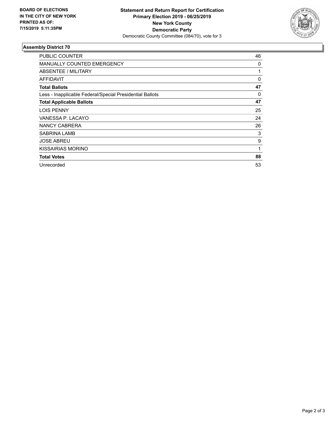

## **Assembly District 70**

| <b>PUBLIC COUNTER</b>                                    | 46 |
|----------------------------------------------------------|----|
| <b>MANUALLY COUNTED EMERGENCY</b>                        | 0  |
| ABSENTEE / MILITARY                                      | 1  |
| AFFIDAVIT                                                | 0  |
| <b>Total Ballots</b>                                     | 47 |
| Less - Inapplicable Federal/Special Presidential Ballots | 0  |
| <b>Total Applicable Ballots</b>                          | 47 |
| <b>LOIS PENNY</b>                                        | 25 |
| VANESSA P. LACAYO                                        | 24 |
| NANCY CABRERA                                            | 26 |
| SABRINA LAMB                                             | 3  |
| <b>JOSE ABREU</b>                                        | 9  |
| KISSAIRIAS MORINO                                        | 1  |
| <b>Total Votes</b>                                       | 88 |
| Unrecorded                                               | 53 |